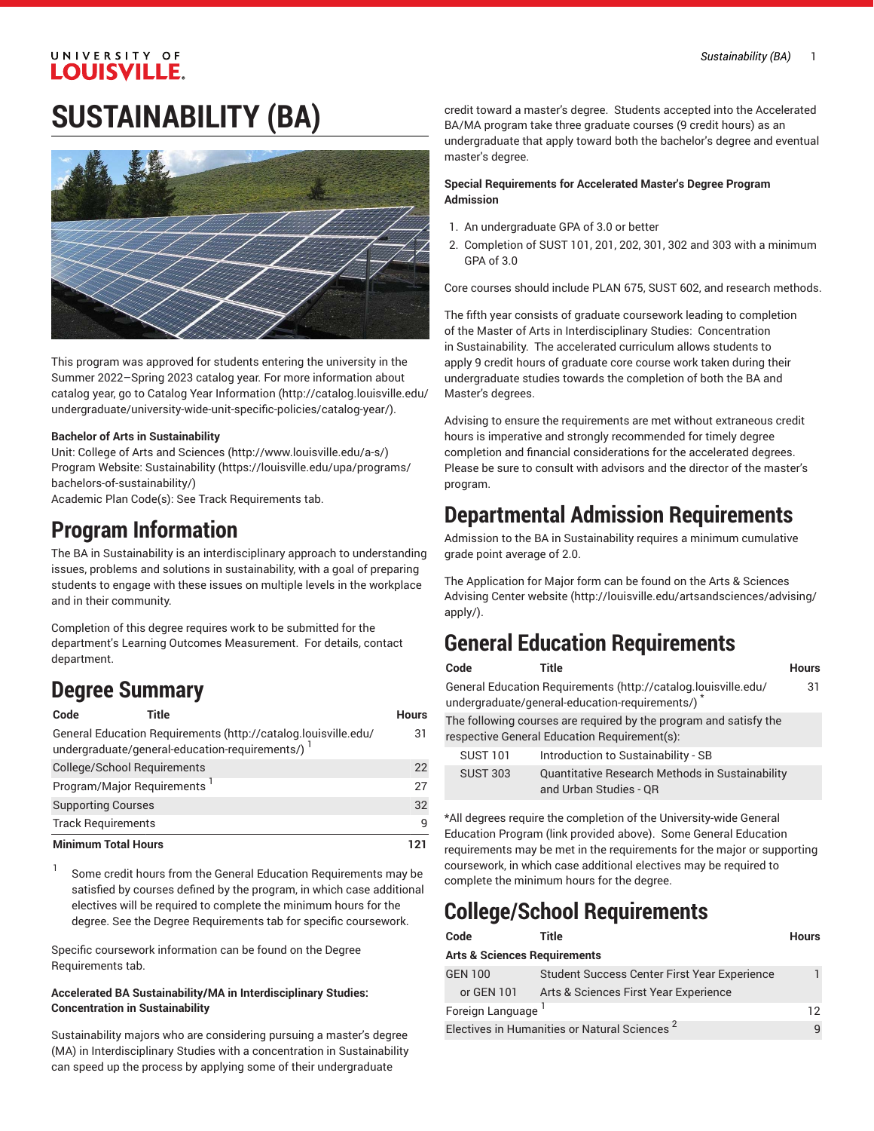### UNIVERSITY OF **LOUISVILLE.**

# **SUSTAINABILITY (BA)**



This program was approved for students entering the university in the Summer 2022–Spring 2023 catalog year. For more information about catalog year, go to Catalog Year [Information](http://catalog.louisville.edu/undergraduate/university-wide-unit-specific-policies/catalog-year/) ([http://catalog.louisville.edu/](http://catalog.louisville.edu/undergraduate/university-wide-unit-specific-policies/catalog-year/) [undergraduate/university-wide-unit-specific-policies/catalog-year/](http://catalog.louisville.edu/undergraduate/university-wide-unit-specific-policies/catalog-year/)).

#### **Bachelor of Arts in Sustainability**

Unit: College of Arts and [Sciences \(http://www.louisville.edu/a-s/\)](http://www.louisville.edu/a-s/) Program Website: [Sustainability](https://louisville.edu/upa/programs/bachelors-of-sustainability/) ([https://louisville.edu/upa/programs/](https://louisville.edu/upa/programs/bachelors-of-sustainability/) [bachelors-of-sustainability/\)](https://louisville.edu/upa/programs/bachelors-of-sustainability/)

Academic Plan Code(s): See Track Requirements tab.

### **Program Information**

The BA in Sustainability is an interdisciplinary approach to understanding issues, problems and solutions in sustainability, with a goal of preparing students to engage with these issues on multiple levels in the workplace and in their community.

Completion of this degree requires work to be submitted for the department's Learning Outcomes Measurement. For details, contact department.

### **Degree Summary**

1

| Code                                    | Title                                                                                                            | <b>Hours</b> |
|-----------------------------------------|------------------------------------------------------------------------------------------------------------------|--------------|
|                                         | General Education Requirements (http://catalog.louisville.edu/<br>undergraduate/general-education-requirements/) | 31           |
| <b>College/School Requirements</b>      |                                                                                                                  | 22           |
| Program/Major Requirements <sup>1</sup> |                                                                                                                  | 27           |
| <b>Supporting Courses</b>               |                                                                                                                  | 32           |
| <b>Track Requirements</b>               |                                                                                                                  | q            |
| <b>Minimum Total Hours</b>              |                                                                                                                  | 121          |

Some credit hours from the General Education Requirements may be satisfied by courses defined by the program, in which case additional electives will be required to complete the minimum hours for the degree. See the Degree Requirements tab for specific coursework.

Specific coursework information can be found on the Degree Requirements tab.

#### **Accelerated BA Sustainability/MA in Interdisciplinary Studies: Concentration in Sustainability**

Sustainability majors who are considering pursuing a master's degree (MA) in Interdisciplinary Studies with a concentration in Sustainability can speed up the process by applying some of their undergraduate

credit toward a master's degree. Students accepted into the Accelerated BA/MA program take three graduate courses (9 credit hours) as an undergraduate that apply toward both the bachelor's degree and eventual master's degree.

#### **Special Requirements for Accelerated Master's Degree Program Admission**

- 1. An undergraduate GPA of 3.0 or better
- 2. Completion of SUST 101, 201, 202, 301, 302 and 303 with a minimum GPA of 3.0

Core courses should include PLAN 675, SUST 602, and research methods.

The fifth year consists of graduate coursework leading to completion of the Master of Arts in Interdisciplinary Studies: Concentration in Sustainability. The accelerated curriculum allows students to apply 9 credit hours of graduate core course work taken during their undergraduate studies towards the completion of both the BA and Master's degrees.

Advising to ensure the requirements are met without extraneous credit hours is imperative and strongly recommended for timely degree completion and financial considerations for the accelerated degrees. Please be sure to consult with advisors and the director of the master's program.

### **Departmental Admission Requirements**

Admission to the BA in Sustainability requires a minimum cumulative grade point average of 2.0.

The Application for Major form can be found on the Arts & [Sciences](http://louisville.edu/artsandsciences/advising/apply/) [Advising Center website](http://louisville.edu/artsandsciences/advising/apply/) ([http://louisville.edu/artsandsciences/advising/](http://louisville.edu/artsandsciences/advising/apply/) [apply/](http://louisville.edu/artsandsciences/advising/apply/)).

### **General Education Requirements**

| Code | <b>Title</b>                                                   | <b>Hours</b> |
|------|----------------------------------------------------------------|--------------|
|      | General Education Requirements (http://catalog.louisville.edu/ | 31           |
|      | undergraduate/general-education-requirements/)                 |              |
|      |                                                                |              |

The following courses are required by the program and satisfy the respective General Education Requirement(s):

| <b>SUST 101</b> | Introduction to Sustainability - SB                                       |
|-----------------|---------------------------------------------------------------------------|
| SUST 303        | Quantitative Research Methods in Sustainability<br>and Urban Studies - OR |

\*All degrees require the completion of the University-wide General Education Program (link provided above). Some General Education requirements may be met in the requirements for the major or supporting coursework, in which case additional electives may be required to complete the minimum hours for the degree.

# **College/School Requirements**

| Code                                                     | Title                                               | <b>Hours</b> |
|----------------------------------------------------------|-----------------------------------------------------|--------------|
| <b>Arts &amp; Sciences Requirements</b>                  |                                                     |              |
| <b>GEN 100</b>                                           | <b>Student Success Center First Year Experience</b> |              |
| or GEN 101                                               | Arts & Sciences First Year Experience               |              |
| Foreign Language                                         |                                                     | 12           |
| Electives in Humanities or Natural Sciences <sup>2</sup> |                                                     |              |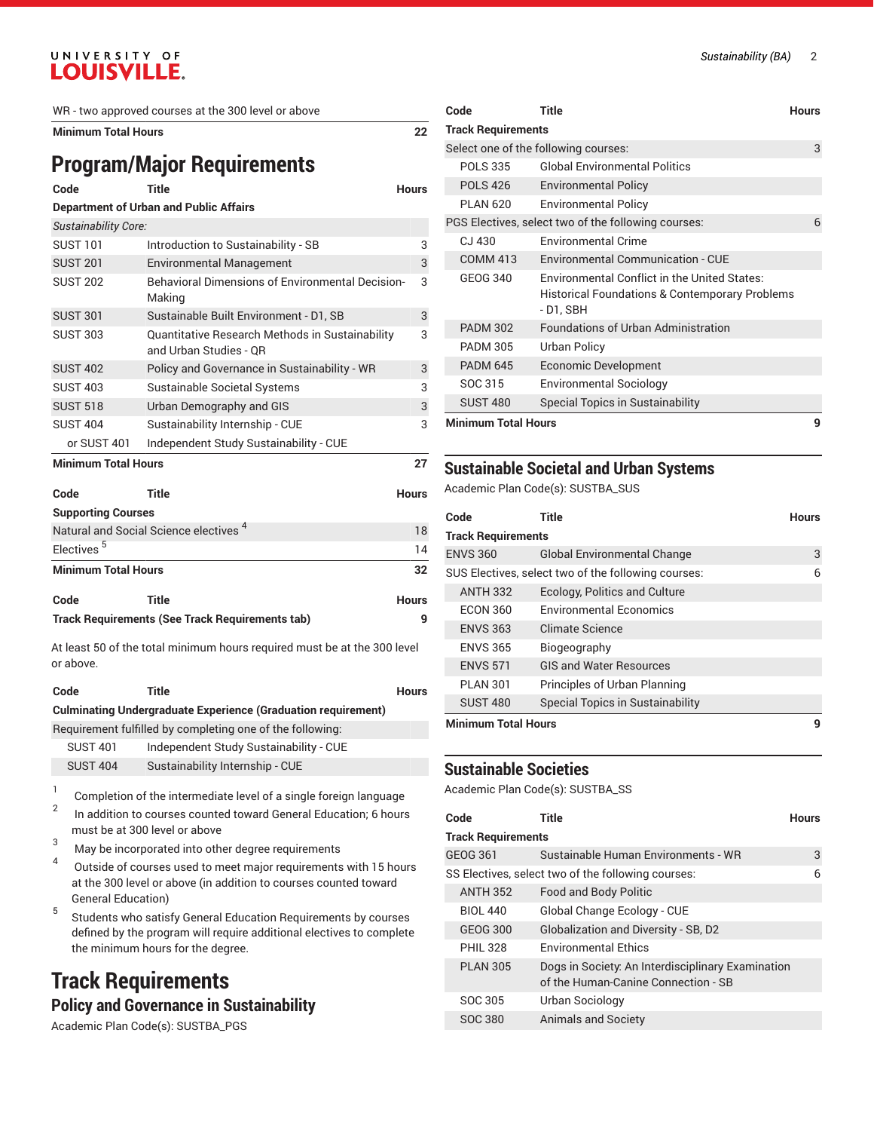#### UNIVERSITY OF **LOUISVILLE.**

WR - two approved courses at the 300 level or above

**Minimum Total Hours 22**

# **Program/Major Requirements**

| Code                                                   | <b>Title</b>                                                              | <b>Hours</b> |  |
|--------------------------------------------------------|---------------------------------------------------------------------------|--------------|--|
| <b>Department of Urban and Public Affairs</b>          |                                                                           |              |  |
| Sustainability Core:                                   |                                                                           |              |  |
| <b>SUST 101</b>                                        | Introduction to Sustainability - SB                                       | 3            |  |
| <b>SUST 201</b>                                        | <b>Environmental Management</b>                                           | 3            |  |
| <b>SUST 202</b>                                        | Behavioral Dimensions of Environmental Decision-<br>Making                | 3            |  |
| <b>SUST 301</b>                                        | Sustainable Built Environment - D1, SB                                    | 3            |  |
| <b>SUST 303</b>                                        | Quantitative Research Methods in Sustainability<br>and Urban Studies - OR | 3            |  |
| <b>SUST 402</b>                                        | Policy and Governance in Sustainability - WR                              | 3            |  |
| <b>SUST 403</b>                                        | Sustainable Societal Systems                                              | 3            |  |
| <b>SUST 518</b>                                        | Urban Demography and GIS                                                  | 3            |  |
| <b>SUST 404</b>                                        | Sustainability Internship - CUE                                           | 3            |  |
| or SUST 401                                            | Independent Study Sustainability - CUE                                    |              |  |
| <b>Minimum Total Hours</b>                             |                                                                           | 27           |  |
| Code                                                   | <b>Title</b>                                                              | <b>Hours</b> |  |
| <b>Supporting Courses</b>                              |                                                                           |              |  |
|                                                        | Natural and Social Science electives <sup>4</sup>                         | 18           |  |
| Electives <sup>5</sup>                                 |                                                                           | 14           |  |
| <b>Minimum Total Hours</b>                             |                                                                           | 32           |  |
| Code                                                   | <b>Title</b>                                                              | <b>Hours</b> |  |
| <b>Track Requirements (See Track Requirements tab)</b> |                                                                           |              |  |

At least 50 of the total minimum hours required must be at the 300 level or above.

| Code            | Title                                                                | <b>Hours</b> |
|-----------------|----------------------------------------------------------------------|--------------|
|                 | <b>Culminating Undergraduate Experience (Graduation requirement)</b> |              |
|                 | Requirement fulfilled by completing one of the following:            |              |
| <b>SUST 401</b> | Independent Study Sustainability - CUE                               |              |
| <b>SUST 404</b> | Sustainability Internship - CUE                                      |              |

1 Completion of the intermediate level of a single foreign language 2 In addition to courses counted toward General Education; 6 hours must be at 300 level or above

- <sup>3</sup> May be incorporated into other degree requirements
- 4 Outside of courses used to meet major requirements with 15 hours at the 300 level or above (in addition to courses counted toward General Education)
- 5 Students who satisfy General Education Requirements by courses defined by the program will require additional electives to complete the minimum hours for the degree.

# **Track Requirements**

#### **Policy and Governance in Sustainability**

Academic Plan Code(s): SUSTBA\_PGS

| Code                       | <b>Title</b>                                                                                                                 | Hours |
|----------------------------|------------------------------------------------------------------------------------------------------------------------------|-------|
| <b>Track Requirements</b>  |                                                                                                                              |       |
|                            | Select one of the following courses:                                                                                         | 3     |
| <b>POLS 335</b>            | <b>Global Environmental Politics</b>                                                                                         |       |
| <b>POLS 426</b>            | <b>Environmental Policy</b>                                                                                                  |       |
| <b>PLAN 620</b>            | <b>Environmental Policy</b>                                                                                                  |       |
|                            | PGS Electives, select two of the following courses:                                                                          | 6     |
| $C1$ 430                   | <b>Environmental Crime</b>                                                                                                   |       |
| <b>COMM 413</b>            | <b>Environmental Communication - CUE</b>                                                                                     |       |
| GEOG 340                   | <b>Environmental Conflict in the United States:</b><br><b>Historical Foundations &amp; Contemporary Problems</b><br>-D1, SBH |       |
| <b>PADM 302</b>            | <b>Foundations of Urban Administration</b>                                                                                   |       |
| <b>PADM 305</b>            | Urban Policy                                                                                                                 |       |
| <b>PADM 645</b>            | Economic Development                                                                                                         |       |
| SOC 315                    | <b>Environmental Sociology</b>                                                                                               |       |
| <b>SUST 480</b>            | <b>Special Topics in Sustainability</b>                                                                                      |       |
| <b>Minimum Total Hours</b> |                                                                                                                              |       |

#### **Sustainable Societal and Urban Systems**

Academic Plan Code(s): SUSTBA\_SUS

| Code                       | Title                                               | Hours |
|----------------------------|-----------------------------------------------------|-------|
| <b>Track Requirements</b>  |                                                     |       |
| <b>ENVS 360</b>            | <b>Global Environmental Change</b>                  | 3     |
|                            | SUS Electives, select two of the following courses: | 6     |
| <b>ANTH 332</b>            | Ecology, Politics and Culture                       |       |
| <b>ECON 360</b>            | <b>Environmental Economics</b>                      |       |
| <b>ENVS 363</b>            | Climate Science                                     |       |
| <b>FNVS 365</b>            | Biogeography                                        |       |
| <b>ENVS 571</b>            | <b>GIS and Water Resources</b>                      |       |
| <b>PI AN 301</b>           | Principles of Urban Planning                        |       |
| <b>SUST 480</b>            | <b>Special Topics in Sustainability</b>             |       |
| <b>Minimum Total Hours</b> |                                                     | 9     |

#### **Sustainable Societies**

Academic Plan Code(s): SUSTBA\_SS

| Code                      | Title                                                                                    | Hours |
|---------------------------|------------------------------------------------------------------------------------------|-------|
| <b>Track Requirements</b> |                                                                                          |       |
| GEOG 361                  | Sustainable Human Environments - WR                                                      | 3     |
|                           | SS Electives, select two of the following courses:                                       | 6     |
| <b>ANTH 352</b>           | <b>Food and Body Politic</b>                                                             |       |
| <b>BIOL 440</b>           | Global Change Ecology - CUE                                                              |       |
| GEOG 300                  | Globalization and Diversity - SB, D2                                                     |       |
| <b>PHIL 328</b>           | <b>Environmental Ethics</b>                                                              |       |
| <b>PI AN 305</b>          | Dogs in Society: An Interdisciplinary Examination<br>of the Human-Canine Connection - SB |       |
| SOC 305                   | Urban Sociology                                                                          |       |
| SOC 380                   | <b>Animals and Society</b>                                                               |       |